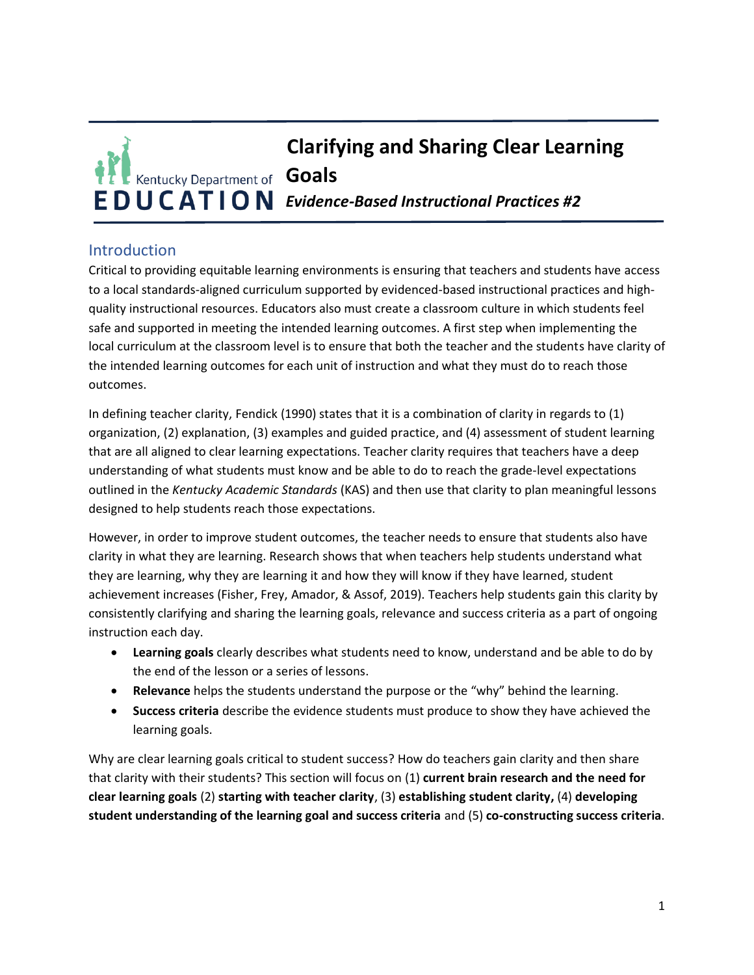# **Clarifying and Sharing Clear Learning Kentucky Department of Goals EDUCATION** Evidence-Based Instructional Practices #2

## **Introduction**

Critical to providing equitable learning environments is ensuring that teachers and students have access to a local standards-aligned curriculum supported by evidenced-based instructional practices and highquality instructional resources. Educators also must create a classroom culture in which students feel safe and supported in meeting the intended learning outcomes. A first step when implementing the local curriculum at the classroom level is to ensure that both the teacher and the students have clarity of the intended learning outcomes for each unit of instruction and what they must do to reach those outcomes.

In defining teacher clarity, Fendick (1990) states that it is a combination of clarity in regards to (1) organization, (2) explanation, (3) examples and guided practice, and (4) assessment of student learning that are all aligned to clear learning expectations. Teacher clarity requires that teachers have a deep understanding of what students must know and be able to do to reach the grade-level expectations outlined in the *Kentucky Academic Standards* (KAS) and then use that clarity to plan meaningful lessons designed to help students reach those expectations.

However, in order to improve student outcomes, the teacher needs to ensure that students also have clarity in what they are learning. Research shows that when teachers help students understand what they are learning, why they are learning it and how they will know if they have learned, student achievement increases (Fisher, Frey, Amador, & Assof, 2019). Teachers help students gain this clarity by consistently clarifying and sharing the learning goals, relevance and success criteria as a part of ongoing instruction each day.

- **Learning goals** clearly describes what students need to know, understand and be able to do by the end of the lesson or a series of lessons.
- **Relevance** helps the students understand the purpose or the "why" behind the learning.
- **Success criteria** describe the evidence students must produce to show they have achieved the learning goals.

Why are clear learning goals critical to student success? How do teachers gain clarity and then share that clarity with their students? This section will focus on (1) **current brain research and the need for clear learning goals** (2) **starting with teacher clarity**, (3) **establishing student clarity,** (4) **developing student understanding of the learning goal and success criteria** and (5) **co-constructing success criteria**.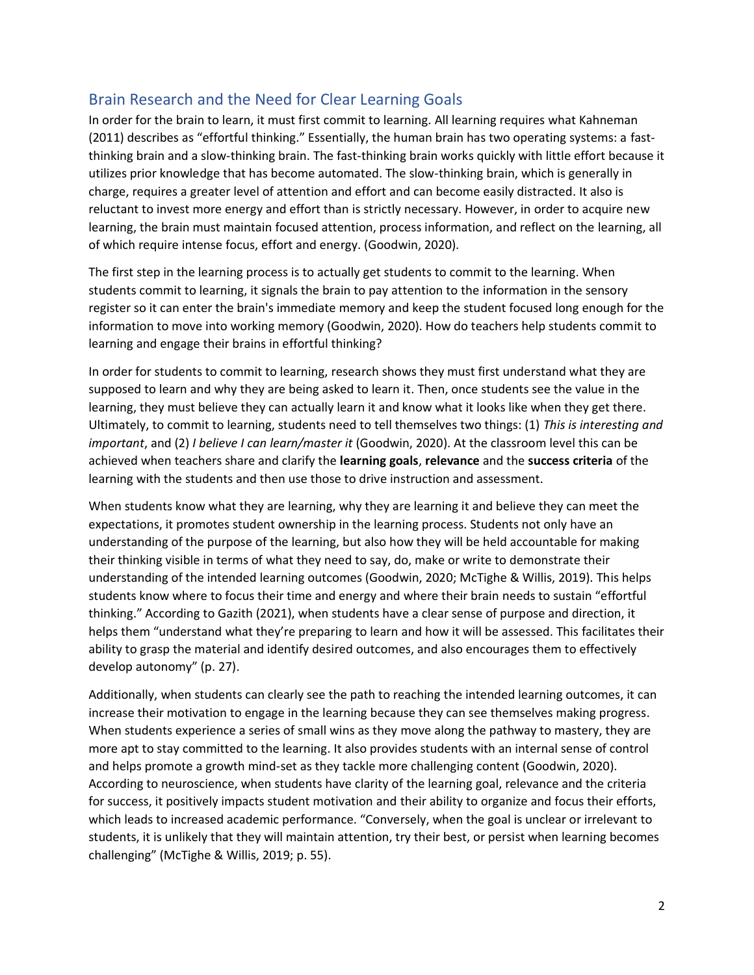## Brain Research and the Need for Clear Learning Goals

In order for the brain to learn, it must first commit to learning. All learning requires what Kahneman (2011) describes as "effortful thinking." Essentially, the human brain has two operating systems: a fastthinking brain and a slow-thinking brain. The fast-thinking brain works quickly with little effort because it utilizes prior knowledge that has become automated. The slow-thinking brain, which is generally in charge, requires a greater level of attention and effort and can become easily distracted. It also is reluctant to invest more energy and effort than is strictly necessary. However, in order to acquire new learning, the brain must maintain focused attention, process information, and reflect on the learning, all of which require intense focus, effort and energy. (Goodwin, 2020).

The first step in the learning process is to actually get students to commit to the learning. When students commit to learning, it signals the brain to pay attention to the information in the sensory register so it can enter the brain's immediate memory and keep the student focused long enough for the information to move into working memory (Goodwin, 2020). How do teachers help students commit to learning and engage their brains in effortful thinking?

In order for students to commit to learning, research shows they must first understand what they are supposed to learn and why they are being asked to learn it. Then, once students see the value in the learning, they must believe they can actually learn it and know what it looks like when they get there. Ultimately, to commit to learning, students need to tell themselves two things: (1) *This is interesting and important*, and (2) *I believe I can learn/master it* (Goodwin, 2020). At the classroom level this can be achieved when teachers share and clarify the **learning goals**, **relevance** and the **success criteria** of the learning with the students and then use those to drive instruction and assessment.

When students know what they are learning, why they are learning it and believe they can meet the expectations, it promotes student ownership in the learning process. Students not only have an understanding of the purpose of the learning, but also how they will be held accountable for making their thinking visible in terms of what they need to say, do, make or write to demonstrate their understanding of the intended learning outcomes (Goodwin, 2020; McTighe & Willis, 2019). This helps students know where to focus their time and energy and where their brain needs to sustain "effortful thinking." According to Gazith (2021), when students have a clear sense of purpose and direction, it helps them "understand what they're preparing to learn and how it will be assessed. This facilitates their ability to grasp the material and identify desired outcomes, and also encourages them to effectively develop autonomy" (p. 27).

Additionally, when students can clearly see the path to reaching the intended learning outcomes, it can increase their motivation to engage in the learning because they can see themselves making progress. When students experience a series of small wins as they move along the pathway to mastery, they are more apt to stay committed to the learning. It also provides students with an internal sense of control and helps promote a growth mind-set as they tackle more challenging content (Goodwin, 2020). According to neuroscience, when students have clarity of the learning goal, relevance and the criteria for success, it positively impacts student motivation and their ability to organize and focus their efforts, which leads to increased academic performance. "Conversely, when the goal is unclear or irrelevant to students, it is unlikely that they will maintain attention, try their best, or persist when learning becomes challenging" (McTighe & Willis, 2019; p. 55).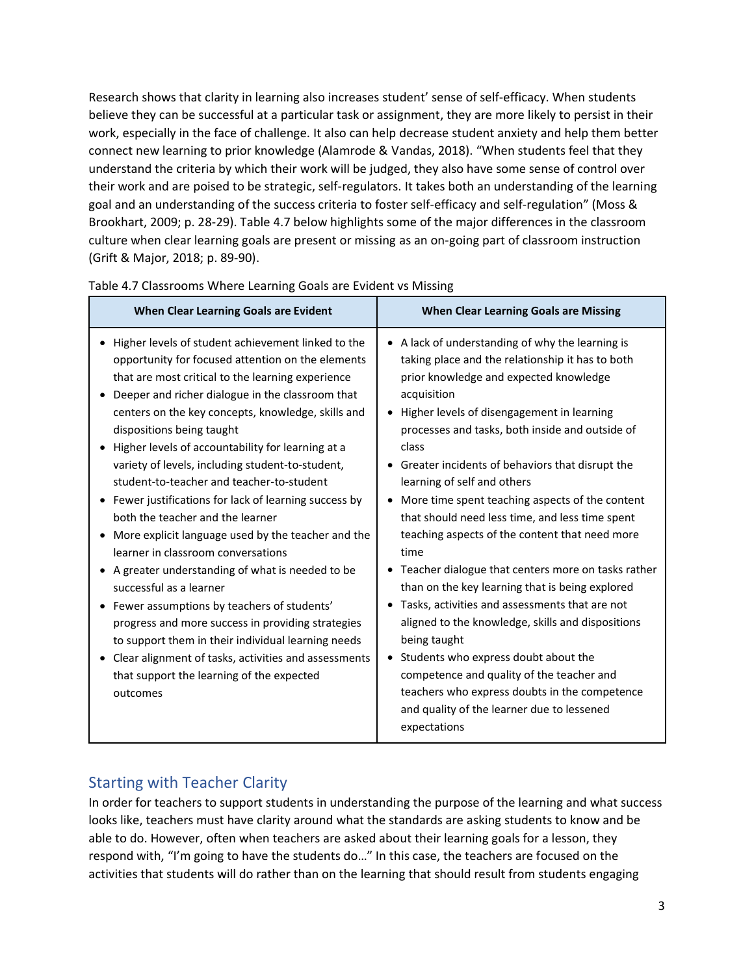Research shows that clarity in learning also increases student' sense of self-efficacy. When students believe they can be successful at a particular task or assignment, they are more likely to persist in their work, especially in the face of challenge. It also can help decrease student anxiety and help them better connect new learning to prior knowledge (Alamrode & Vandas, 2018). "When students feel that they understand the criteria by which their work will be judged, they also have some sense of control over their work and are poised to be strategic, self-regulators. It takes both an understanding of the learning goal and an understanding of the success criteria to foster self-efficacy and self-regulation" (Moss & Brookhart, 2009; p. 28-29). Table 4.7 below highlights some of the major differences in the classroom culture when clear learning goals are present or missing as an on-going part of classroom instruction (Grift & Major, 2018; p. 89-90).

| When Clear Learning Goals are Evident                                                                                                                                                                                                                                                                                                                                                                                                                                                                                                                                                                                                                                                                                                                                                                                                                                                                                                                                                                       | <b>When Clear Learning Goals are Missing</b>                                                                                                                                                                                                                                                                                                                                                                                                                                                                                                                                                                                                                                                                                                                                                                                                                                                                                                                              |
|-------------------------------------------------------------------------------------------------------------------------------------------------------------------------------------------------------------------------------------------------------------------------------------------------------------------------------------------------------------------------------------------------------------------------------------------------------------------------------------------------------------------------------------------------------------------------------------------------------------------------------------------------------------------------------------------------------------------------------------------------------------------------------------------------------------------------------------------------------------------------------------------------------------------------------------------------------------------------------------------------------------|---------------------------------------------------------------------------------------------------------------------------------------------------------------------------------------------------------------------------------------------------------------------------------------------------------------------------------------------------------------------------------------------------------------------------------------------------------------------------------------------------------------------------------------------------------------------------------------------------------------------------------------------------------------------------------------------------------------------------------------------------------------------------------------------------------------------------------------------------------------------------------------------------------------------------------------------------------------------------|
| • Higher levels of student achievement linked to the<br>opportunity for focused attention on the elements<br>that are most critical to the learning experience<br>Deeper and richer dialogue in the classroom that<br>centers on the key concepts, knowledge, skills and<br>dispositions being taught<br>Higher levels of accountability for learning at a<br>variety of levels, including student-to-student,<br>student-to-teacher and teacher-to-student<br>Fewer justifications for lack of learning success by<br>both the teacher and the learner<br>More explicit language used by the teacher and the<br>learner in classroom conversations<br>A greater understanding of what is needed to be<br>successful as a learner<br>Fewer assumptions by teachers of students'<br>progress and more success in providing strategies<br>to support them in their individual learning needs<br>Clear alignment of tasks, activities and assessments<br>that support the learning of the expected<br>outcomes | • A lack of understanding of why the learning is<br>taking place and the relationship it has to both<br>prior knowledge and expected knowledge<br>acquisition<br>• Higher levels of disengagement in learning<br>processes and tasks, both inside and outside of<br>class<br>• Greater incidents of behaviors that disrupt the<br>learning of self and others<br>• More time spent teaching aspects of the content<br>that should need less time, and less time spent<br>teaching aspects of the content that need more<br>time<br>• Teacher dialogue that centers more on tasks rather<br>than on the key learning that is being explored<br>• Tasks, activities and assessments that are not<br>aligned to the knowledge, skills and dispositions<br>being taught<br>• Students who express doubt about the<br>competence and quality of the teacher and<br>teachers who express doubts in the competence<br>and quality of the learner due to lessened<br>expectations |

Table 4.7 Classrooms Where Learning Goals are Evident vs Missing

## Starting with Teacher Clarity

In order for teachers to support students in understanding the purpose of the learning and what success looks like, teachers must have clarity around what the standards are asking students to know and be able to do. However, often when teachers are asked about their learning goals for a lesson, they respond with, "I'm going to have the students do…" In this case, the teachers are focused on the activities that students will do rather than on the learning that should result from students engaging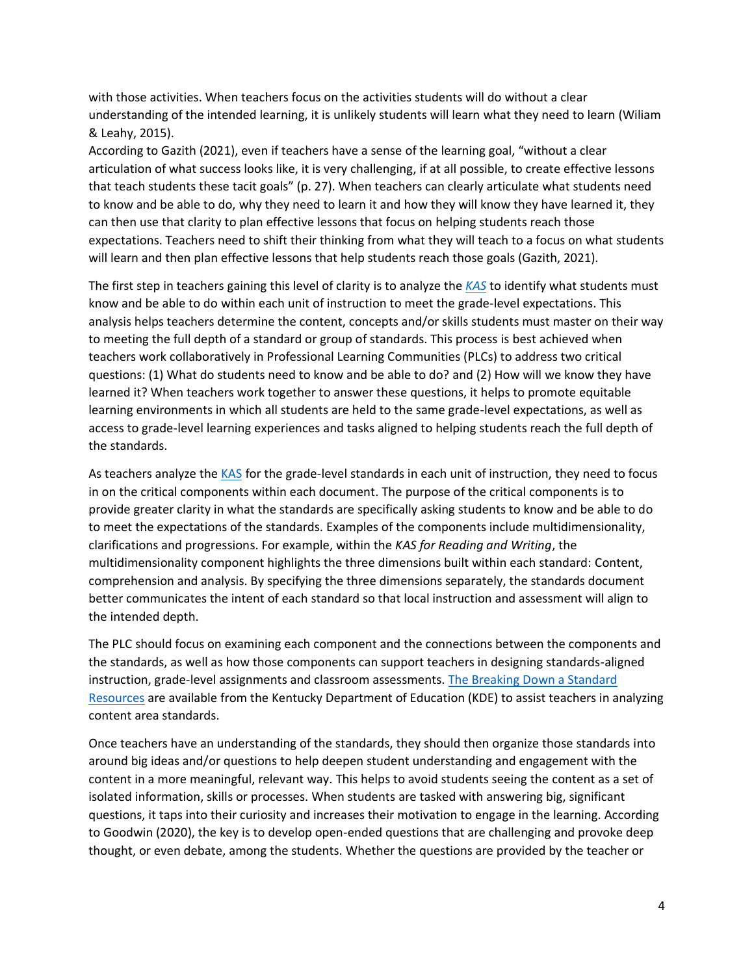with those activities. When teachers focus on the activities students will do without a clear understanding of the intended learning, it is unlikely students will learn what they need to learn (Wiliam & Leahy, 2015).

According to Gazith (2021), even if teachers have a sense of the learning goal, "without a clear articulation of what success looks like, it is very challenging, if at all possible, to create effective lessons that teach students these tacit goals" (p. 27). When teachers can clearly articulate what students need to know and be able to do, why they need to learn it and how they will know they have learned it, they can then use that clarity to plan effective lessons that focus on helping students reach those expectations. Teachers need to shift their thinking from what they will teach to a focus on what students will learn and then plan effective lessons that help students reach those goals (Gazith, 2021).

The first step in teachers gaining this level of clarity is to analyze the *[KAS](https://kystandards.org/home/ky-acad-standards/)* to identify what students must know and be able to do within each unit of instruction to meet the grade-level expectations. This analysis helps teachers determine the content, concepts and/or skills students must master on their way to meeting the full depth of a standard or group of standards. This process is best achieved when teachers work collaboratively in Professional Learning Communities (PLCs) to address two critical questions: (1) What do students need to know and be able to do? and (2) How will we know they have learned it? When teachers work together to answer these questions, it helps to promote equitable learning environments in which all students are held to the same grade-level expectations, as well as access to grade-level learning experiences and tasks aligned to helping students reach the full depth of the standards.

As teachers analyze th[e KAS](https://kystandards.org/home/ky-acad-standards/) for the grade-level standards in each unit of instruction, they need to focus in on the critical components within each document. The purpose of the critical components is to provide greater clarity in what the standards are specifically asking students to know and be able to do to meet the expectations of the standards. Examples of the components include multidimensionality, clarifications and progressions. For example, within the *KAS for Reading and Writing*, the multidimensionality component highlights the three dimensions built within each standard: Content, comprehension and analysis. By specifying the three dimensions separately, the standards document better communicates the intent of each standard so that local instruction and assessment will align to the intended depth.

The PLC should focus on examining each component and the connections between the components and the standards, as well as how those components can support teachers in designing standards-aligned instruction, grade-level assignments and classroom assessments. [The Breaking Down a Standard](https://kystandards.org/standards-resources/break-down-stand-res/)  [Resources](https://kystandards.org/standards-resources/break-down-stand-res/) are available from the Kentucky Department of Education (KDE) to assist teachers in analyzing content area standards.

Once teachers have an understanding of the standards, they should then organize those standards into around big ideas and/or questions to help deepen student understanding and engagement with the content in a more meaningful, relevant way. This helps to avoid students seeing the content as a set of isolated information, skills or processes. When students are tasked with answering big, significant questions, it taps into their curiosity and increases their motivation to engage in the learning. According to Goodwin (2020), the key is to develop open-ended questions that are challenging and provoke deep thought, or even debate, among the students. Whether the questions are provided by the teacher or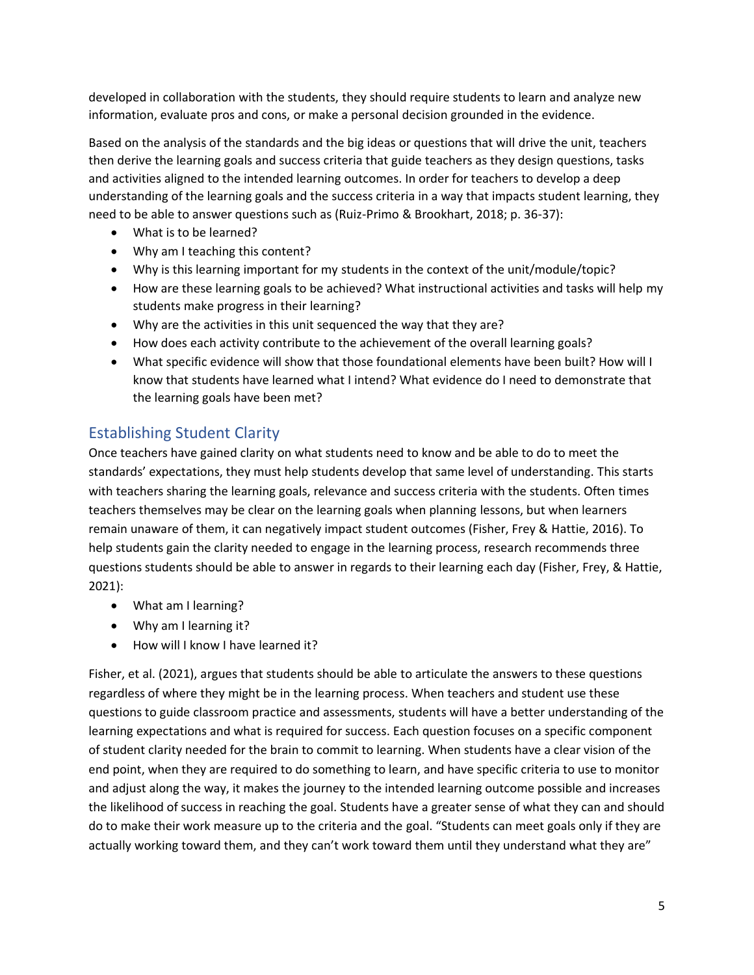developed in collaboration with the students, they should require students to learn and analyze new information, evaluate pros and cons, or make a personal decision grounded in the evidence.

Based on the analysis of the standards and the big ideas or questions that will drive the unit, teachers then derive the learning goals and success criteria that guide teachers as they design questions, tasks and activities aligned to the intended learning outcomes. In order for teachers to develop a deep understanding of the learning goals and the success criteria in a way that impacts student learning, they need to be able to answer questions such as (Ruiz-Primo & Brookhart, 2018; p. 36-37):

- What is to be learned?
- Why am I teaching this content?
- Why is this learning important for my students in the context of the unit/module/topic?
- How are these learning goals to be achieved? What instructional activities and tasks will help my students make progress in their learning?
- Why are the activities in this unit sequenced the way that they are?
- How does each activity contribute to the achievement of the overall learning goals?
- What specific evidence will show that those foundational elements have been built? How will I know that students have learned what I intend? What evidence do I need to demonstrate that the learning goals have been met?

## Establishing Student Clarity

Once teachers have gained clarity on what students need to know and be able to do to meet the standards' expectations, they must help students develop that same level of understanding. This starts with teachers sharing the learning goals, relevance and success criteria with the students. Often times teachers themselves may be clear on the learning goals when planning lessons, but when learners remain unaware of them, it can negatively impact student outcomes (Fisher, Frey & Hattie, 2016). To help students gain the clarity needed to engage in the learning process, research recommends three questions students should be able to answer in regards to their learning each day (Fisher, Frey, & Hattie, 2021):

- What am I learning?
- Why am I learning it?
- How will I know I have learned it?

Fisher, et al. (2021), argues that students should be able to articulate the answers to these questions regardless of where they might be in the learning process. When teachers and student use these questions to guide classroom practice and assessments, students will have a better understanding of the learning expectations and what is required for success. Each question focuses on a specific component of student clarity needed for the brain to commit to learning. When students have a clear vision of the end point, when they are required to do something to learn, and have specific criteria to use to monitor and adjust along the way, it makes the journey to the intended learning outcome possible and increases the likelihood of success in reaching the goal. Students have a greater sense of what they can and should do to make their work measure up to the criteria and the goal. "Students can meet goals only if they are actually working toward them, and they can't work toward them until they understand what they are"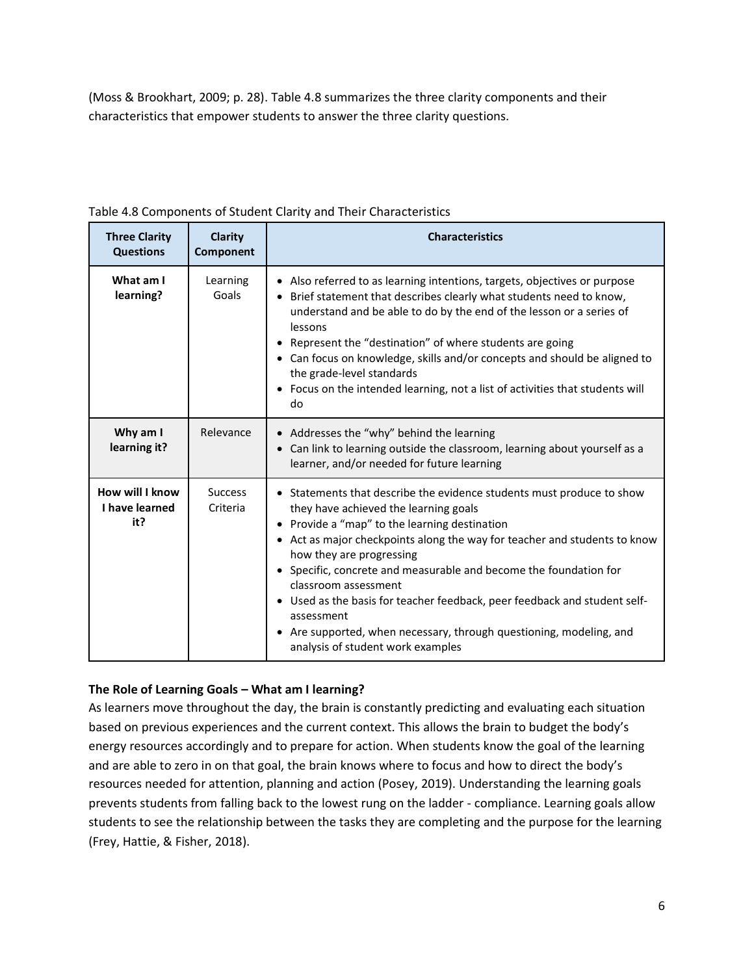(Moss & Brookhart, 2009; p. 28). Table 4.8 summarizes the three clarity components and their characteristics that empower students to answer the three clarity questions.

| <b>Three Clarity</b><br><b>Questions</b> | Clarity<br>Component       | <b>Characteristics</b>                                                                                                                                                                                                                                                                                                                                                                                                                                                                                                                                                   |
|------------------------------------------|----------------------------|--------------------------------------------------------------------------------------------------------------------------------------------------------------------------------------------------------------------------------------------------------------------------------------------------------------------------------------------------------------------------------------------------------------------------------------------------------------------------------------------------------------------------------------------------------------------------|
| What am I<br>learning?                   | Learning<br>Goals          | • Also referred to as learning intentions, targets, objectives or purpose<br>Brief statement that describes clearly what students need to know,<br>understand and be able to do by the end of the lesson or a series of<br>lessons<br>Represent the "destination" of where students are going<br>$\bullet$<br>• Can focus on knowledge, skills and/or concepts and should be aligned to<br>the grade-level standards<br>• Focus on the intended learning, not a list of activities that students will<br>do                                                              |
| Why am I<br>learning it?                 | Relevance                  | • Addresses the "why" behind the learning<br>Can link to learning outside the classroom, learning about yourself as a<br>learner, and/or needed for future learning                                                                                                                                                                                                                                                                                                                                                                                                      |
| How will I know<br>I have learned<br>it? | <b>Success</b><br>Criteria | • Statements that describe the evidence students must produce to show<br>they have achieved the learning goals<br>• Provide a "map" to the learning destination<br>• Act as major checkpoints along the way for teacher and students to know<br>how they are progressing<br>• Specific, concrete and measurable and become the foundation for<br>classroom assessment<br>Used as the basis for teacher feedback, peer feedback and student self-<br>assessment<br>Are supported, when necessary, through questioning, modeling, and<br>analysis of student work examples |

Table 4.8 Components of Student Clarity and Their Characteristics

### **The Role of Learning Goals – What am I learning?**

As learners move throughout the day, the brain is constantly predicting and evaluating each situation based on previous experiences and the current context. This allows the brain to budget the body's energy resources accordingly and to prepare for action. When students know the goal of the learning and are able to zero in on that goal, the brain knows where to focus and how to direct the body's resources needed for attention, planning and action (Posey, 2019). Understanding the learning goals prevents students from falling back to the lowest rung on the ladder - compliance. Learning goals allow students to see the relationship between the tasks they are completing and the purpose for the learning (Frey, Hattie, & Fisher, 2018).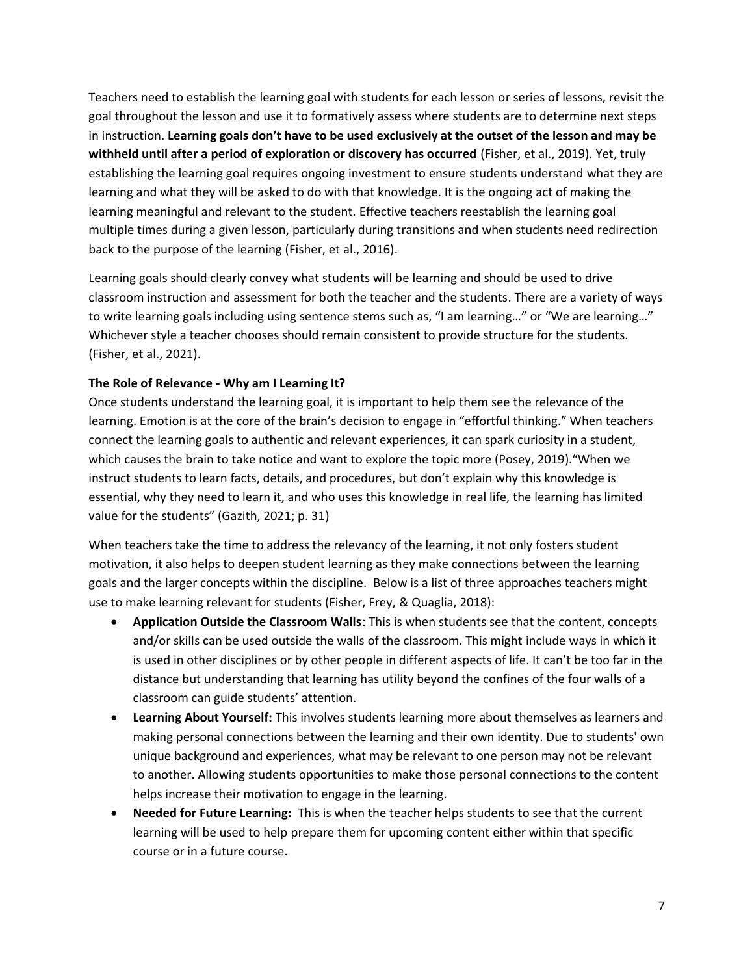Teachers need to establish the learning goal with students for each lesson or series of lessons, revisit the goal throughout the lesson and use it to formatively assess where students are to determine next steps in instruction. **Learning goals don't have to be used exclusively at the outset of the lesson and may be withheld until after a period of exploration or discovery has occurred** (Fisher, et al., 2019). Yet, truly establishing the learning goal requires ongoing investment to ensure students understand what they are learning and what they will be asked to do with that knowledge. It is the ongoing act of making the learning meaningful and relevant to the student. Effective teachers reestablish the learning goal multiple times during a given lesson, particularly during transitions and when students need redirection back to the purpose of the learning (Fisher, et al., 2016).

Learning goals should clearly convey what students will be learning and should be used to drive classroom instruction and assessment for both the teacher and the students. There are a variety of ways to write learning goals including using sentence stems such as, "I am learning…" or "We are learning…" Whichever style a teacher chooses should remain consistent to provide structure for the students. (Fisher, et al., 2021).

#### **The Role of Relevance - Why am I Learning It?**

Once students understand the learning goal, it is important to help them see the relevance of the learning. Emotion is at the core of the brain's decision to engage in "effortful thinking." When teachers connect the learning goals to authentic and relevant experiences, it can spark curiosity in a student, which causes the brain to take notice and want to explore the topic more (Posey, 2019)."When we instruct students to learn facts, details, and procedures, but don't explain why this knowledge is essential, why they need to learn it, and who uses this knowledge in real life, the learning has limited value for the students" (Gazith, 2021; p. 31)

When teachers take the time to address the relevancy of the learning, it not only fosters student motivation, it also helps to deepen student learning as they make connections between the learning goals and the larger concepts within the discipline. Below is a list of three approaches teachers might use to make learning relevant for students (Fisher, Frey, & Quaglia, 2018):

- **Application Outside the Classroom Walls**: This is when students see that the content, concepts and/or skills can be used outside the walls of the classroom. This might include ways in which it is used in other disciplines or by other people in different aspects of life. It can't be too far in the distance but understanding that learning has utility beyond the confines of the four walls of a classroom can guide students' attention.
- **Learning About Yourself:** This involves students learning more about themselves as learners and making personal connections between the learning and their own identity. Due to students' own unique background and experiences, what may be relevant to one person may not be relevant to another. Allowing students opportunities to make those personal connections to the content helps increase their motivation to engage in the learning.
- **Needed for Future Learning:** This is when the teacher helps students to see that the current learning will be used to help prepare them for upcoming content either within that specific course or in a future course.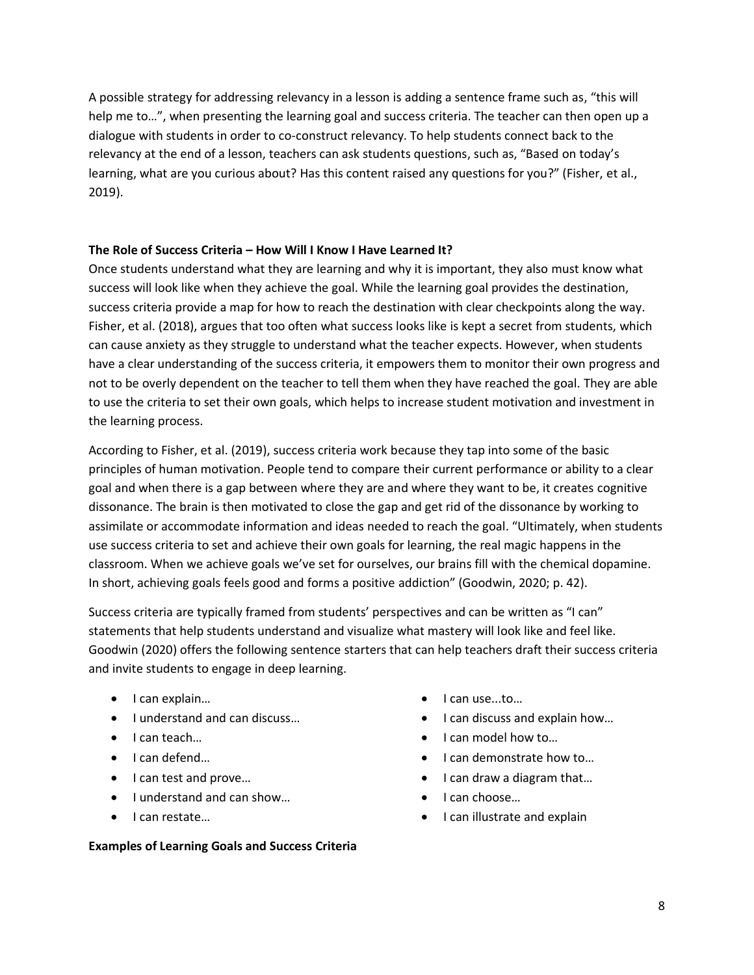A possible strategy for addressing relevancy in a lesson is adding a sentence frame such as, "this will help me to...", when presenting the learning goal and success criteria. The teacher can then open up a dialogue with students in order to co-construct relevancy. To help students connect back to the relevancy at the end of a lesson, teachers can ask students questions, such as, "Based on today's learning, what are you curious about? Has this content raised any questions for you?" (Fisher, et al., 2019).

#### **The Role of Success Criteria – How Will I Know I Have Learned It?**

Once students understand what they are learning and why it is important, they also must know what success will look like when they achieve the goal. While the learning goal provides the destination, success criteria provide a map for how to reach the destination with clear checkpoints along the way. Fisher, et al. (2018), argues that too often what success looks like is kept a secret from students, which can cause anxiety as they struggle to understand what the teacher expects. However, when students have a clear understanding of the success criteria, it empowers them to monitor their own progress and not to be overly dependent on the teacher to tell them when they have reached the goal. They are able to use the criteria to set their own goals, which helps to increase student motivation and investment in the learning process.

According to Fisher, et al. (2019), success criteria work because they tap into some of the basic principles of human motivation. People tend to compare their current performance or ability to a clear goal and when there is a gap between where they are and where they want to be, it creates cognitive dissonance. The brain is then motivated to close the gap and get rid of the dissonance by working to assimilate or accommodate information and ideas needed to reach the goal. "Ultimately, when students use success criteria to set and achieve their own goals for learning, the real magic happens in the classroom. When we achieve goals we've set for ourselves, our brains fill with the chemical dopamine. In short, achieving goals feels good and forms a positive addiction" (Goodwin, 2020; p. 42).

Success criteria are typically framed from students' perspectives and can be written as "I can" statements that help students understand and visualize what mastery will look like and feel like. Goodwin (2020) offers the following sentence starters that can help teachers draft their success criteria and invite students to engage in deep learning.

- I can explain…
- I understand and can discuss…
- I can teach…
- I can defend…
- I can test and prove...
- I understand and can show…
- I can restate…

#### **Examples of Learning Goals and Success Criteria**

- I can use...to…
- I can discuss and explain how...
- I can model how to...
- I can demonstrate how to…
- I can draw a diagram that…
- I can choose…
- I can illustrate and explain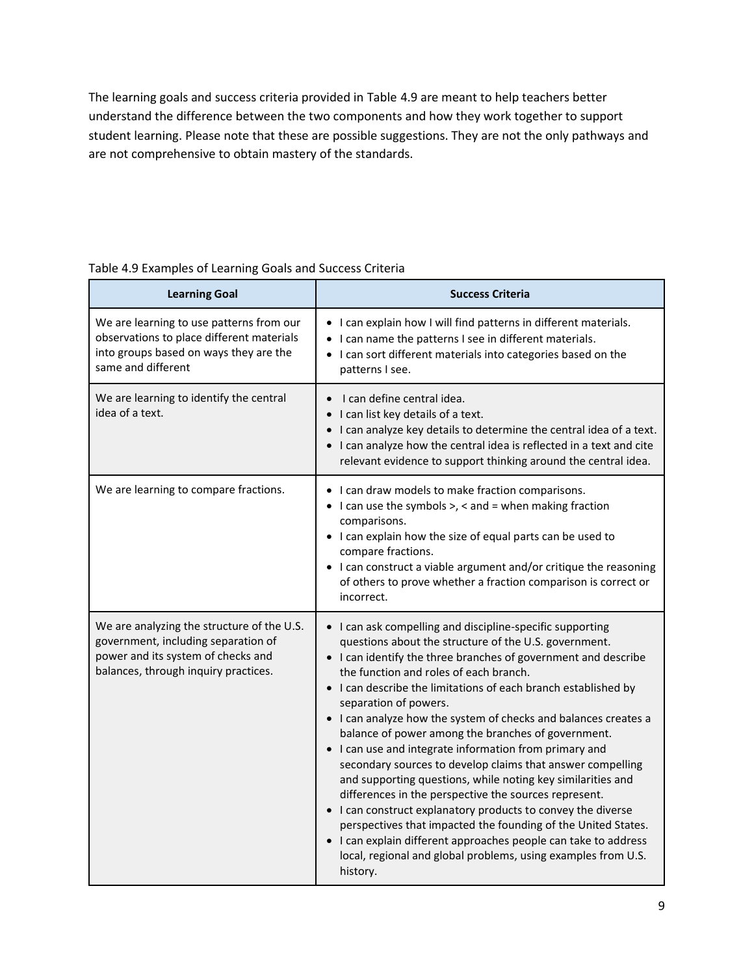The learning goals and success criteria provided in Table 4.9 are meant to help teachers better understand the difference between the two components and how they work together to support student learning. Please note that these are possible suggestions. They are not the only pathways and are not comprehensive to obtain mastery of the standards.

| <b>Learning Goal</b>                                                                                                                                            | <b>Success Criteria</b>                                                                                                                                                                                                                                                                                                                                                                                                                                                                                                                                                                                                                                                                                                                                                                                                                                                                                                                                                             |
|-----------------------------------------------------------------------------------------------------------------------------------------------------------------|-------------------------------------------------------------------------------------------------------------------------------------------------------------------------------------------------------------------------------------------------------------------------------------------------------------------------------------------------------------------------------------------------------------------------------------------------------------------------------------------------------------------------------------------------------------------------------------------------------------------------------------------------------------------------------------------------------------------------------------------------------------------------------------------------------------------------------------------------------------------------------------------------------------------------------------------------------------------------------------|
| We are learning to use patterns from our<br>observations to place different materials<br>into groups based on ways they are the<br>same and different           | • I can explain how I will find patterns in different materials.<br>• I can name the patterns I see in different materials.<br>• I can sort different materials into categories based on the<br>patterns I see.                                                                                                                                                                                                                                                                                                                                                                                                                                                                                                                                                                                                                                                                                                                                                                     |
| We are learning to identify the central<br>idea of a text.                                                                                                      | I can define central idea.<br>I can list key details of a text.<br>• I can analyze key details to determine the central idea of a text.<br>• I can analyze how the central idea is reflected in a text and cite<br>relevant evidence to support thinking around the central idea.                                                                                                                                                                                                                                                                                                                                                                                                                                                                                                                                                                                                                                                                                                   |
| We are learning to compare fractions.                                                                                                                           | • I can draw models to make fraction comparisons.<br>$\bullet$ I can use the symbols >, < and = when making fraction<br>comparisons.<br>• I can explain how the size of equal parts can be used to<br>compare fractions.<br>• I can construct a viable argument and/or critique the reasoning<br>of others to prove whether a fraction comparison is correct or<br>incorrect.                                                                                                                                                                                                                                                                                                                                                                                                                                                                                                                                                                                                       |
| We are analyzing the structure of the U.S.<br>government, including separation of<br>power and its system of checks and<br>balances, through inquiry practices. | • I can ask compelling and discipline-specific supporting<br>questions about the structure of the U.S. government.<br>• I can identify the three branches of government and describe<br>the function and roles of each branch.<br>• I can describe the limitations of each branch established by<br>separation of powers.<br>• I can analyze how the system of checks and balances creates a<br>balance of power among the branches of government.<br>• I can use and integrate information from primary and<br>secondary sources to develop claims that answer compelling<br>and supporting questions, while noting key similarities and<br>differences in the perspective the sources represent.<br>• I can construct explanatory products to convey the diverse<br>perspectives that impacted the founding of the United States.<br>• I can explain different approaches people can take to address<br>local, regional and global problems, using examples from U.S.<br>history. |

#### Table 4.9 Examples of Learning Goals and Success Criteria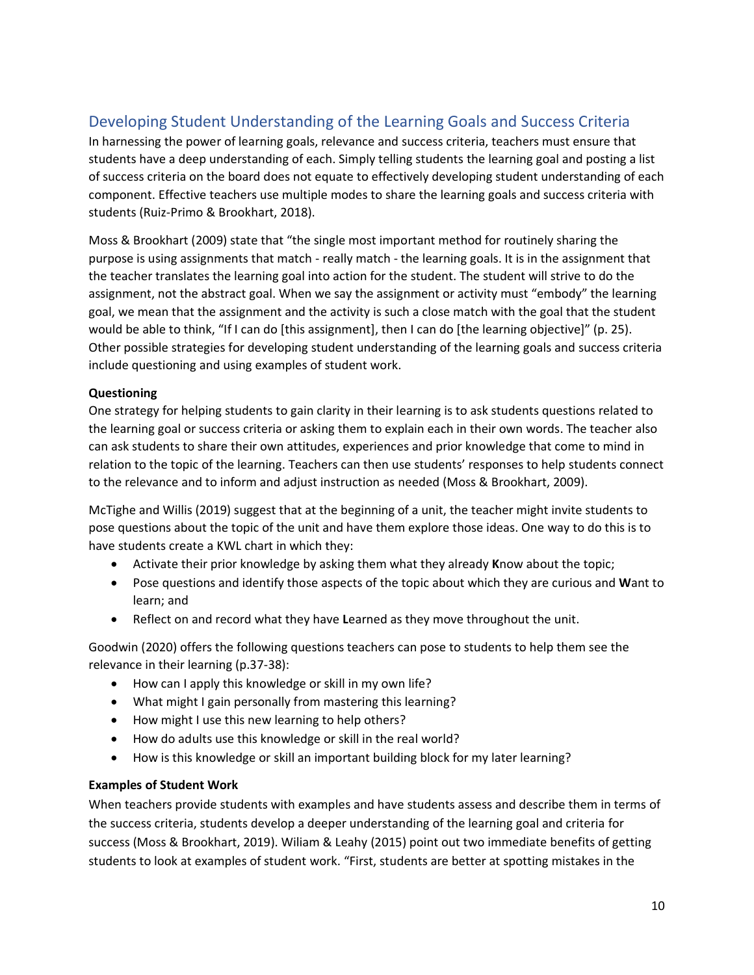## Developing Student Understanding of the Learning Goals and Success Criteria

In harnessing the power of learning goals, relevance and success criteria, teachers must ensure that students have a deep understanding of each. Simply telling students the learning goal and posting a list of success criteria on the board does not equate to effectively developing student understanding of each component. Effective teachers use multiple modes to share the learning goals and success criteria with students (Ruiz-Primo & Brookhart, 2018).

Moss & Brookhart (2009) state that "the single most important method for routinely sharing the purpose is using assignments that match - really match - the learning goals. It is in the assignment that the teacher translates the learning goal into action for the student. The student will strive to do the assignment, not the abstract goal. When we say the assignment or activity must "embody" the learning goal, we mean that the assignment and the activity is such a close match with the goal that the student would be able to think, "If I can do [this assignment], then I can do [the learning objective]" (p. 25). Other possible strategies for developing student understanding of the learning goals and success criteria include questioning and using examples of student work.

### **Questioning**

One strategy for helping students to gain clarity in their learning is to ask students questions related to the learning goal or success criteria or asking them to explain each in their own words. The teacher also can ask students to share their own attitudes, experiences and prior knowledge that come to mind in relation to the topic of the learning. Teachers can then use students' responses to help students connect to the relevance and to inform and adjust instruction as needed (Moss & Brookhart, 2009).

McTighe and Willis (2019) suggest that at the beginning of a unit, the teacher might invite students to pose questions about the topic of the unit and have them explore those ideas. One way to do this is to have students create a KWL chart in which they:

- Activate their prior knowledge by asking them what they already **K**now about the topic;
- Pose questions and identify those aspects of the topic about which they are curious and **W**ant to learn; and
- Reflect on and record what they have **L**earned as they move throughout the unit.

Goodwin (2020) offers the following questions teachers can pose to students to help them see the relevance in their learning (p.37-38):

- How can I apply this knowledge or skill in my own life?
- What might I gain personally from mastering this learning?
- How might I use this new learning to help others?
- How do adults use this knowledge or skill in the real world?
- How is this knowledge or skill an important building block for my later learning?

#### **Examples of Student Work**

When teachers provide students with examples and have students assess and describe them in terms of the success criteria, students develop a deeper understanding of the learning goal and criteria for success (Moss & Brookhart, 2019). Wiliam & Leahy (2015) point out two immediate benefits of getting students to look at examples of student work. "First, students are better at spotting mistakes in the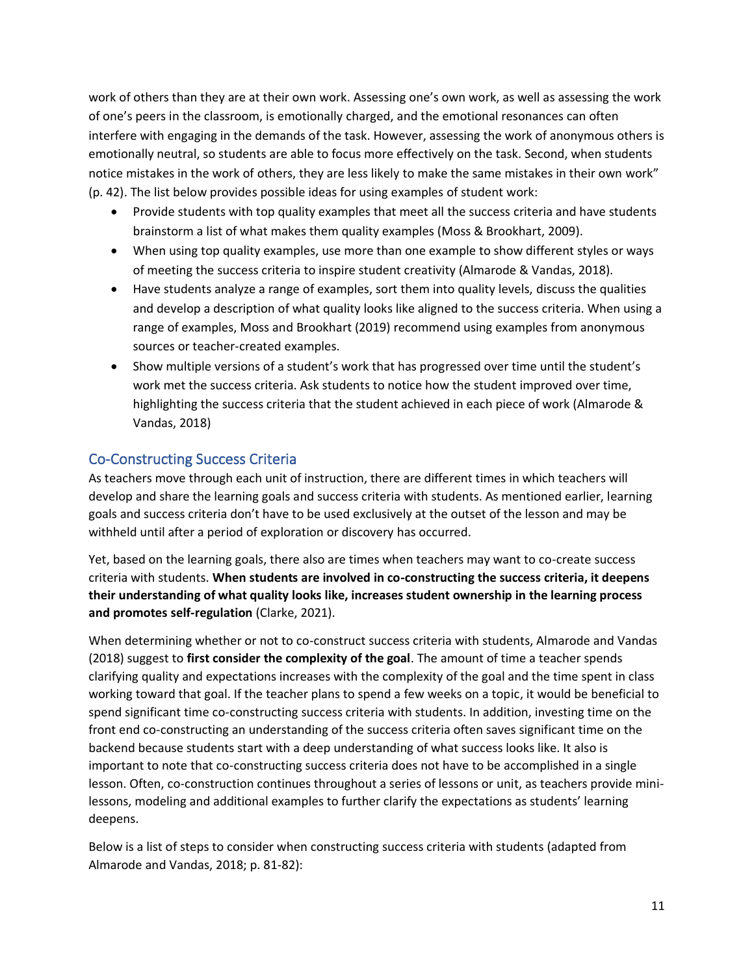work of others than they are at their own work. Assessing one's own work, as well as assessing the work of one's peers in the classroom, is emotionally charged, and the emotional resonances can often interfere with engaging in the demands of the task. However, assessing the work of anonymous others is emotionally neutral, so students are able to focus more effectively on the task. Second, when students notice mistakes in the work of others, they are less likely to make the same mistakes in their own work" (p. 42). The list below provides possible ideas for using examples of student work:

- Provide students with top quality examples that meet all the success criteria and have students brainstorm a list of what makes them quality examples (Moss & Brookhart, 2009).
- When using top quality examples, use more than one example to show different styles or ways of meeting the success criteria to inspire student creativity (Almarode & Vandas, 2018).
- Have students analyze a range of examples, sort them into quality levels, discuss the qualities and develop a description of what quality looks like aligned to the success criteria. When using a range of examples, Moss and Brookhart (2019) recommend using examples from anonymous sources or teacher-created examples.
- Show multiple versions of a student's work that has progressed over time until the student's work met the success criteria. Ask students to notice how the student improved over time, highlighting the success criteria that the student achieved in each piece of work (Almarode & Vandas, 2018)

## Co-Constructing Success Criteria

As teachers move through each unit of instruction, there are different times in which teachers will develop and share the learning goals and success criteria with students. As mentioned earlier, learning goals and success criteria don't have to be used exclusively at the outset of the lesson and may be withheld until after a period of exploration or discovery has occurred.

Yet, based on the learning goals, there also are times when teachers may want to co-create success criteria with students. **When students are involved in co-constructing the success criteria, it deepens their understanding of what quality looks like, increases student ownership in the learning process and promotes self-regulation** (Clarke, 2021).

When determining whether or not to co-construct success criteria with students, Almarode and Vandas (2018) suggest to **first consider the complexity of the goal**. The amount of time a teacher spends clarifying quality and expectations increases with the complexity of the goal and the time spent in class working toward that goal. If the teacher plans to spend a few weeks on a topic, it would be beneficial to spend significant time co-constructing success criteria with students. In addition, investing time on the front end co-constructing an understanding of the success criteria often saves significant time on the backend because students start with a deep understanding of what success looks like. It also is important to note that co-constructing success criteria does not have to be accomplished in a single lesson. Often, co-construction continues throughout a series of lessons or unit, as teachers provide minilessons, modeling and additional examples to further clarify the expectations as students' learning deepens.

Below is a list of steps to consider when constructing success criteria with students (adapted from Almarode and Vandas, 2018; p. 81-82):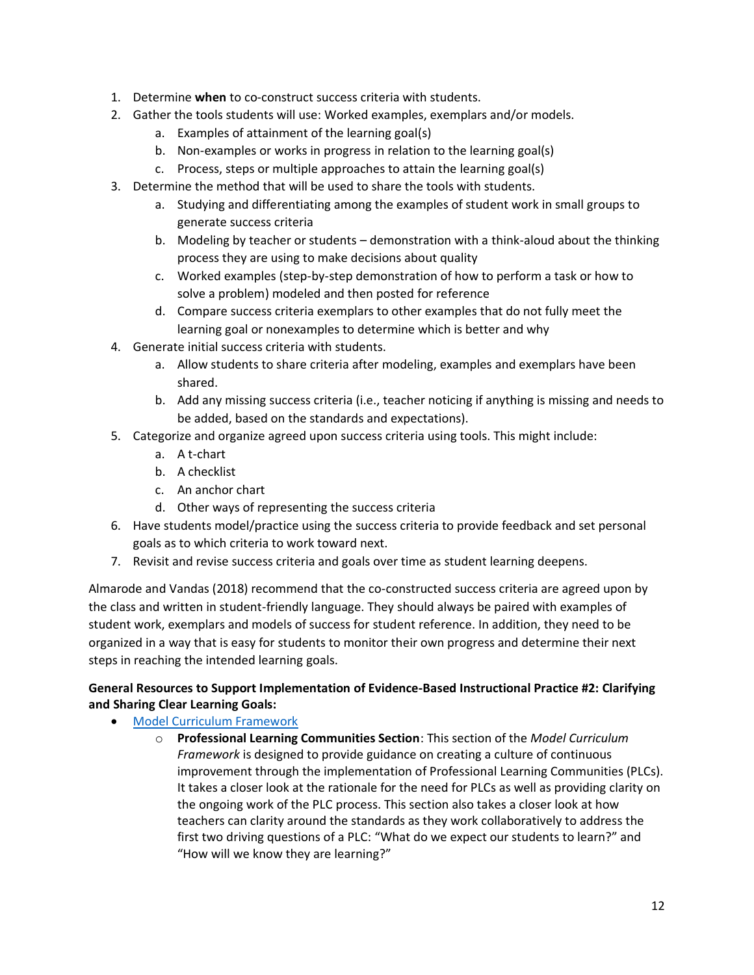- 1. Determine **when** to co-construct success criteria with students.
- 2. Gather the tools students will use: Worked examples, exemplars and/or models.
	- a. Examples of attainment of the learning goal(s)
	- b. Non-examples or works in progress in relation to the learning goal(s)
	- c. Process, steps or multiple approaches to attain the learning goal(s)
- 3. Determine the method that will be used to share the tools with students.
	- a. Studying and differentiating among the examples of student work in small groups to generate success criteria
	- b. Modeling by teacher or students demonstration with a think-aloud about the thinking process they are using to make decisions about quality
	- c. Worked examples (step-by-step demonstration of how to perform a task or how to solve a problem) modeled and then posted for reference
	- d. Compare success criteria exemplars to other examples that do not fully meet the learning goal or nonexamples to determine which is better and why
- 4. Generate initial success criteria with students.
	- a. Allow students to share criteria after modeling, examples and exemplars have been shared.
	- b. Add any missing success criteria (i.e., teacher noticing if anything is missing and needs to be added, based on the standards and expectations).
- 5. Categorize and organize agreed upon success criteria using tools. This might include:
	- a. A t-chart
	- b. A checklist
	- c. An anchor chart
	- d. Other ways of representing the success criteria
- 6. Have students model/practice using the success criteria to provide feedback and set personal goals as to which criteria to work toward next.
- 7. Revisit and revise success criteria and goals over time as student learning deepens.

Almarode and Vandas (2018) recommend that the co-constructed success criteria are agreed upon by the class and written in student-friendly language. They should always be paired with examples of student work, exemplars and models of success for student reference. In addition, they need to be organized in a way that is easy for students to monitor their own progress and determine their next steps in reaching the intended learning goals.

### **General Resources to Support Implementation of Evidence-Based Instructional Practice #2: Clarifying and Sharing Clear Learning Goals:**

- [Model Curriculum Framework](https://education.ky.gov/curriculum/standards/kyacadstand/Documents/Model_Curriculum_Framework.pdf)
	- o **Professional Learning Communities Section**: This section of the *Model Curriculum Framework* is designed to provide guidance on creating a culture of continuous improvement through the implementation of Professional Learning Communities (PLCs). It takes a closer look at the rationale for the need for PLCs as well as providing clarity on the ongoing work of the PLC process. This section also takes a closer look at how teachers can clarity around the standards as they work collaboratively to address the first two driving questions of a PLC: "What do we expect our students to learn?" and "How will we know they are learning?"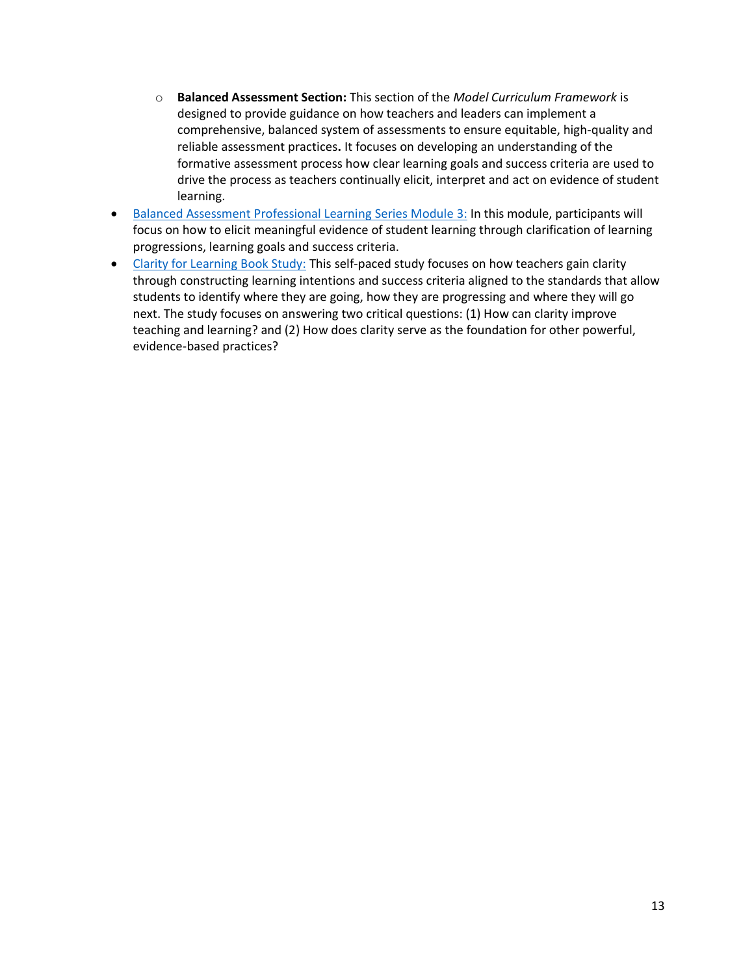- o **Balanced Assessment Section:** This section of the *Model Curriculum Framework* is designed to provide guidance on how teachers and leaders can implement a comprehensive, balanced system of assessments to ensure equitable, high-quality and reliable assessment practices**.** It focuses on developing an understanding of the formative assessment process how clear learning goals and success criteria are used to drive the process as teachers continually elicit, interpret and act on evidence of student learning.
- [Balanced Assessment Professional Learning](https://kystandards.org/standards-resources/pl-mods/balanced-assessment-plms/) Series Module 3: In this module, participants will focus on how to elicit meaningful evidence of student learning through clarification of learning progressions, learning goals and success criteria.
- [Clarity for Learning Book Study:](https://education.ky.gov/curriculum/standards/kyacadstand/Documents/Clarity_for_Learning_Book_Study_Learning_Plan_and_Resources.pdf) This self-paced study focuses on how teachers gain clarity through constructing learning intentions and success criteria aligned to the standards that allow students to identify where they are going, how they are progressing and where they will go next. The study focuses on answering two critical questions: (1) How can clarity improve teaching and learning? and (2) How does clarity serve as the foundation for other powerful, evidence-based practices?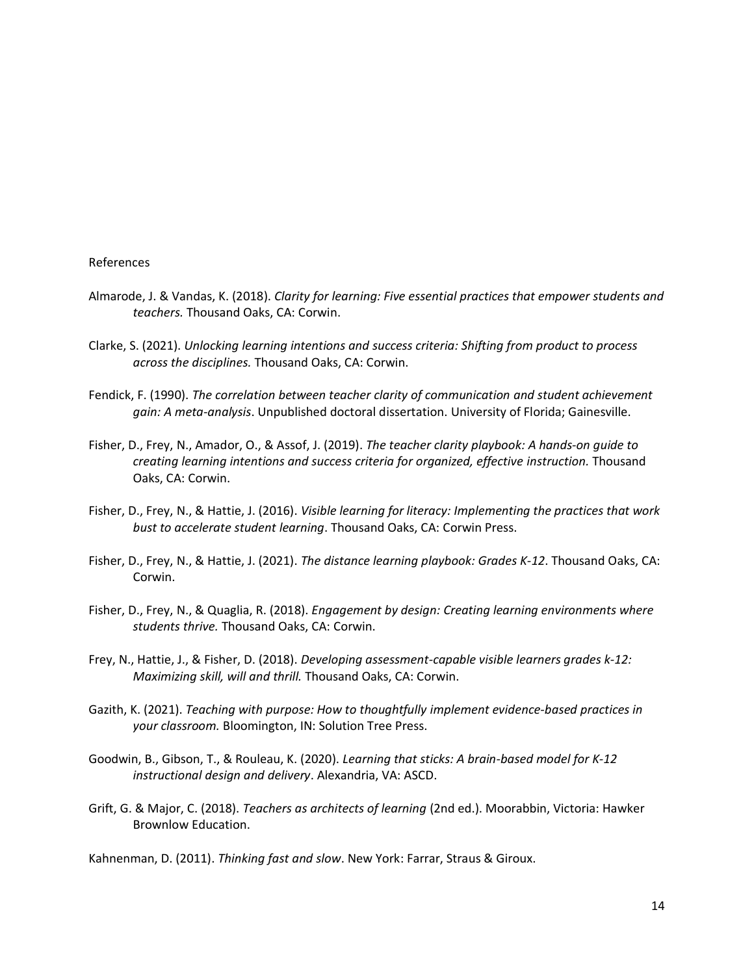#### References

- Almarode, J. & Vandas, K. (2018). *Clarity for learning: Five essential practices that empower students and teachers.* Thousand Oaks, CA: Corwin.
- Clarke, S. (2021). *Unlocking learning intentions and success criteria: Shifting from product to process across the disciplines.* Thousand Oaks, CA: Corwin.
- Fendick, F. (1990). *The correlation between teacher clarity of communication and student achievement gain: A meta-analysis*. Unpublished doctoral dissertation. University of Florida; Gainesville.
- Fisher, D., Frey, N., Amador, O., & Assof, J. (2019). *The teacher clarity playbook: A hands-on guide to creating learning intentions and success criteria for organized, effective instruction.* Thousand Oaks, CA: Corwin.
- Fisher, D., Frey, N., & Hattie, J. (2016). *Visible learning for literacy: Implementing the practices that work bust to accelerate student learning*. Thousand Oaks, CA: Corwin Press.
- Fisher, D., Frey, N., & Hattie, J. (2021). *The distance learning playbook: Grades K-12*. Thousand Oaks, CA: Corwin.
- Fisher, D., Frey, N., & Quaglia, R. (2018). *Engagement by design: Creating learning environments where students thrive.* Thousand Oaks, CA: Corwin.
- Frey, N., Hattie, J., & Fisher, D. (2018). *Developing assessment-capable visible learners grades k-12: Maximizing skill, will and thrill.* Thousand Oaks, CA: Corwin.
- Gazith, K. (2021). *Teaching with purpose: How to thoughtfully implement evidence-based practices in your classroom.* Bloomington, IN: Solution Tree Press.
- Goodwin, B., Gibson, T., & Rouleau, K. (2020). *Learning that sticks: A brain-based model for K-12 instructional design and delivery*. Alexandria, VA: ASCD.
- Grift, G. & Major, C. (2018). *Teachers as architects of learning* (2nd ed.). Moorabbin, Victoria: Hawker Brownlow Education.

Kahnenman, D. (2011). *Thinking fast and slow*. New York: Farrar, Straus & Giroux.